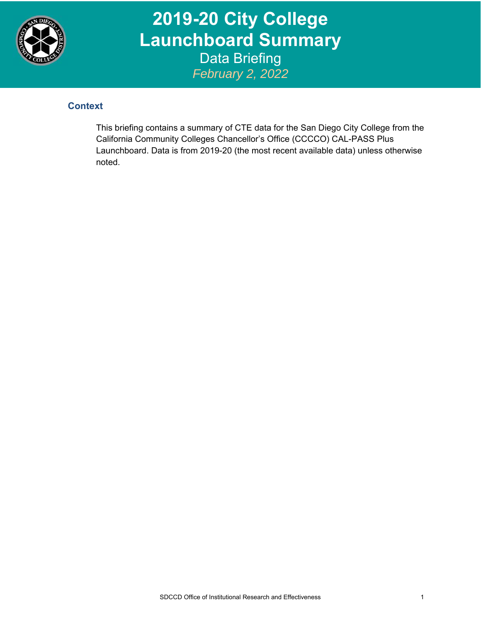

**2019-20 City College Launchboard Summary**  Data Briefing *February 2, 2022*

## **Context**

This briefing contains a summary of CTE data for the San Diego City College from the California Community Colleges Chancellor's Office (CCCCO) CAL-PASS Plus Launchboard. Data is from 2019-20 (the most recent available data) unless otherwise noted.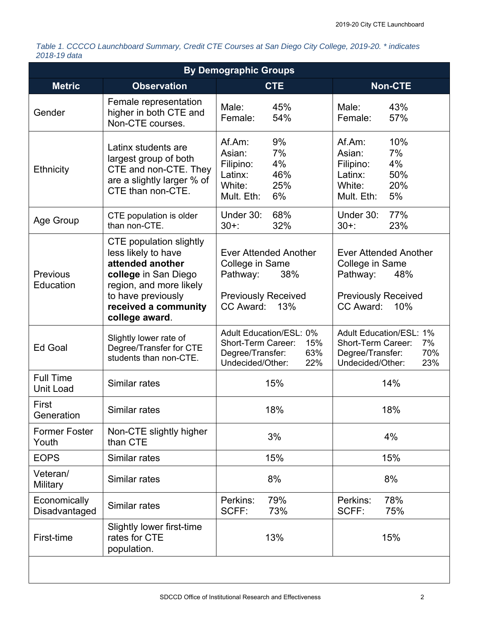*Table 1. CCCCO Launchboard Summary, Credit CTE Courses at San Diego City College, 2019-20. \* indicates 2018-19 data* 

| <b>By Demographic Groups</b>         |                                                                                                                                                                                              |                                                                                                                      |                                                                                                                      |  |  |  |  |  |
|--------------------------------------|----------------------------------------------------------------------------------------------------------------------------------------------------------------------------------------------|----------------------------------------------------------------------------------------------------------------------|----------------------------------------------------------------------------------------------------------------------|--|--|--|--|--|
| <b>Metric</b>                        | <b>Observation</b>                                                                                                                                                                           | <b>CTE</b>                                                                                                           | <b>Non-CTE</b>                                                                                                       |  |  |  |  |  |
| Gender                               | Female representation<br>higher in both CTE and<br>Non-CTE courses.                                                                                                                          | Male:<br>45%<br>54%<br>Female:                                                                                       | Male:<br>43%<br>57%<br>Female:                                                                                       |  |  |  |  |  |
| Ethnicity                            | Latinx students are<br>largest group of both<br>CTE and non-CTE. They<br>are a slightly larger % of<br>CTE than non-CTE.                                                                     | 9%<br>Af.Am:<br>7%<br>Asian:<br>4%<br>Filipino:<br>46%<br>Latinx:<br>25%<br>White:<br>Mult. Eth:<br>6%               | 10%<br>Af.Am:<br>7%<br>Asian:<br>4%<br>Filipino:<br>50%<br>Latinx:<br>20%<br>White:<br>5%<br>Mult. Eth:              |  |  |  |  |  |
| Age Group                            | CTE population is older<br>than non-CTE.                                                                                                                                                     | 68%<br>Under 30:<br>$30+$ :<br>32%                                                                                   | Under 30:<br>77%<br>$30+$ :<br>23%                                                                                   |  |  |  |  |  |
| <b>Previous</b><br>Education         | <b>CTE</b> population slightly<br>less likely to have<br>attended another<br>college in San Diego<br>region, and more likely<br>to have previously<br>received a community<br>college award. | <b>Ever Attended Another</b><br>College in Same<br>Pathway:<br>38%<br><b>Previously Received</b><br>CC Award:<br>13% | <b>Ever Attended Another</b><br>College in Same<br>Pathway:<br>48%<br><b>Previously Received</b><br>CC Award:<br>10% |  |  |  |  |  |
| <b>Ed Goal</b>                       | Slightly lower rate of<br>Degree/Transfer for CTE<br>students than non-CTE.                                                                                                                  | <b>Adult Education/ESL: 0%</b><br>Short-Term Career:<br>15%<br>63%<br>Degree/Transfer:<br>Undecided/Other:<br>22%    | <b>Adult Education/ESL: 1%</b><br>Short-Term Career:<br>7%<br>Degree/Transfer:<br>70%<br>Undecided/Other:<br>23%     |  |  |  |  |  |
| <b>Full Time</b><br><b>Unit Load</b> | Similar rates                                                                                                                                                                                | 15%                                                                                                                  | 14%                                                                                                                  |  |  |  |  |  |
| First<br>Generation                  | Similar rates                                                                                                                                                                                | 18%                                                                                                                  | 18%                                                                                                                  |  |  |  |  |  |
| <b>Former Foster</b><br>Youth        | Non-CTE slightly higher<br>than CTE                                                                                                                                                          | 3%                                                                                                                   | 4%                                                                                                                   |  |  |  |  |  |
| <b>EOPS</b>                          | Similar rates                                                                                                                                                                                | 15%                                                                                                                  | 15%                                                                                                                  |  |  |  |  |  |
| Veteran/<br>Military                 | Similar rates                                                                                                                                                                                | 8%                                                                                                                   | 8%                                                                                                                   |  |  |  |  |  |
| Economically<br>Disadvantaged        | Similar rates                                                                                                                                                                                | 79%<br>Perkins:<br>SCFF:<br>73%                                                                                      | 78%<br>Perkins:<br>SCFF:<br>75%                                                                                      |  |  |  |  |  |
| First-time                           | Slightly lower first-time<br>rates for CTE<br>population.                                                                                                                                    | 13%                                                                                                                  | 15%                                                                                                                  |  |  |  |  |  |
|                                      |                                                                                                                                                                                              |                                                                                                                      |                                                                                                                      |  |  |  |  |  |